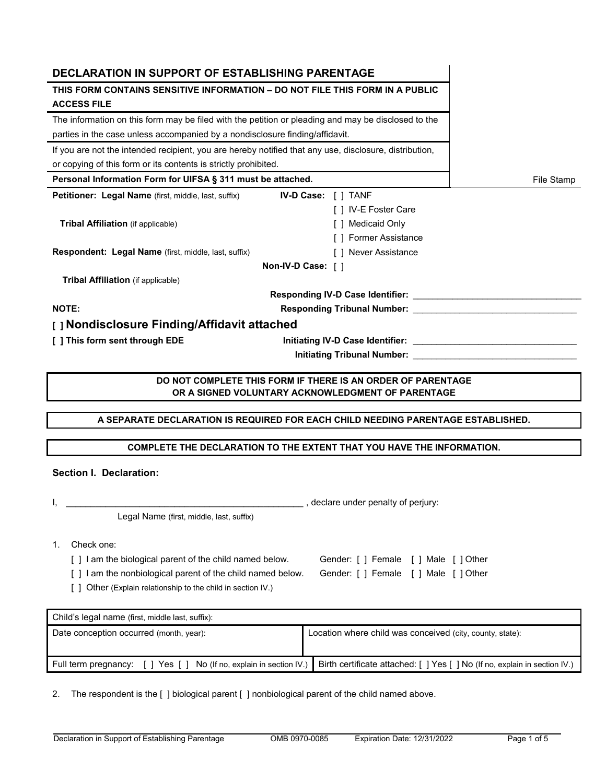| <b>DECLARATION IN SUPPORT OF ESTABLISHING PARENTAGE</b>                                                |                                                                                                                  |  |  |  |  |
|--------------------------------------------------------------------------------------------------------|------------------------------------------------------------------------------------------------------------------|--|--|--|--|
| THIS FORM CONTAINS SENSITIVE INFORMATION – DO NOT FILE THIS FORM IN A PUBLIC                           |                                                                                                                  |  |  |  |  |
| <b>ACCESS FILE</b>                                                                                     |                                                                                                                  |  |  |  |  |
| The information on this form may be filed with the petition or pleading and may be disclosed to the    |                                                                                                                  |  |  |  |  |
| parties in the case unless accompanied by a nondisclosure finding/affidavit.                           |                                                                                                                  |  |  |  |  |
| If you are not the intended recipient, you are hereby notified that any use, disclosure, distribution, |                                                                                                                  |  |  |  |  |
| or copying of this form or its contents is strictly prohibited.                                        |                                                                                                                  |  |  |  |  |
| Personal Information Form for UIFSA § 311 must be attached.                                            | File Stamp                                                                                                       |  |  |  |  |
| Petitioner: Legal Name (first, middle, last, suffix)                                                   | <b>IV-D Case:</b> $\begin{bmatrix} 1 \end{bmatrix}$ TANF                                                         |  |  |  |  |
|                                                                                                        | [ ] IV-E Foster Care                                                                                             |  |  |  |  |
| <b>Tribal Affiliation</b> (if applicable)                                                              | [ ] Medicaid Only                                                                                                |  |  |  |  |
|                                                                                                        | [ ] Former Assistance                                                                                            |  |  |  |  |
| Respondent: Legal Name (first, middle, last, suffix)                                                   | [ ] Never Assistance                                                                                             |  |  |  |  |
|                                                                                                        | Non-IV-D Case: []                                                                                                |  |  |  |  |
| Tribal Affiliation (if applicable)                                                                     |                                                                                                                  |  |  |  |  |
|                                                                                                        |                                                                                                                  |  |  |  |  |
| <b>NOTE:</b>                                                                                           | <b>Responding Tribunal Number:</b> New York 1997                                                                 |  |  |  |  |
| [] Nondisclosure Finding/Affidavit attached                                                            |                                                                                                                  |  |  |  |  |
| [ ] This form sent through EDE                                                                         |                                                                                                                  |  |  |  |  |
|                                                                                                        |                                                                                                                  |  |  |  |  |
|                                                                                                        |                                                                                                                  |  |  |  |  |
|                                                                                                        | DO NOT COMPLETE THIS FORM IF THERE IS AN ORDER OF PARENTAGE<br>OR A SIGNED VOLUNTARY ACKNOWLEDGMENT OF PARENTAGE |  |  |  |  |
|                                                                                                        |                                                                                                                  |  |  |  |  |
|                                                                                                        | A SEPARATE DECLARATION IS REQUIRED FOR EACH CHILD NEEDING PARENTAGE ESTABLISHED.                                 |  |  |  |  |
|                                                                                                        |                                                                                                                  |  |  |  |  |
|                                                                                                        | COMPLETE THE DECLARATION TO THE EXTENT THAT YOU HAVE THE INFORMATION.                                            |  |  |  |  |
| <b>Section I. Declaration:</b>                                                                         |                                                                                                                  |  |  |  |  |
|                                                                                                        |                                                                                                                  |  |  |  |  |
|                                                                                                        | , declare under penalty of perjury:                                                                              |  |  |  |  |
| Legal Name (first, middle, last, suffix)                                                               |                                                                                                                  |  |  |  |  |
|                                                                                                        |                                                                                                                  |  |  |  |  |
| Check one:<br>1.                                                                                       |                                                                                                                  |  |  |  |  |
| [] I am the biological parent of the child named below.<br>Gender: [ ] Female [ ] Male [ ] Other       |                                                                                                                  |  |  |  |  |
| [] I am the nonbiological parent of the child named below.                                             | Gender: [ ] Female [ ] Male [ ] Other                                                                            |  |  |  |  |
| [ ] Other (Explain relationship to the child in section IV.)                                           |                                                                                                                  |  |  |  |  |
|                                                                                                        |                                                                                                                  |  |  |  |  |

| Child's legal name (first, middle last, suffix):                    |                                                                            |  |  |  |
|---------------------------------------------------------------------|----------------------------------------------------------------------------|--|--|--|
| Date conception occurred (month, year):                             | Location where child was conceived (city, county, state):                  |  |  |  |
| Full term pregnancy: [ ] Yes [ ] No (If no, explain in section IV.) | Birth certificate attached: [ ] Yes [ ] No (If no, explain in section IV.) |  |  |  |

2. The respondent is the [ ] biological parent [ ] nonbiological parent of the child named above.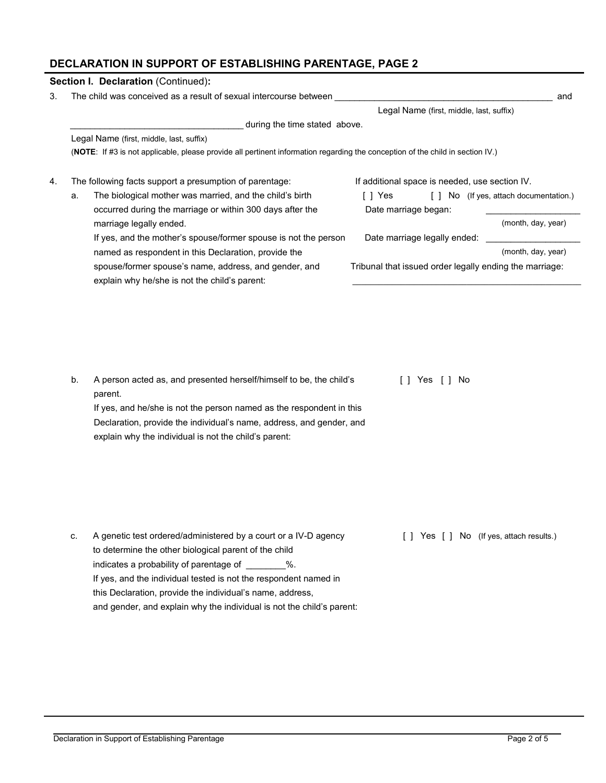## **DECLARATION IN SUPPORT OF ESTABLISHING PARENTAGE, PAGE 2**

| Section I. Declaration (Continued):                                                                                                                                                                                                                                          |                                                                                                                                |                                                                                                                                          |  |  |
|------------------------------------------------------------------------------------------------------------------------------------------------------------------------------------------------------------------------------------------------------------------------------|--------------------------------------------------------------------------------------------------------------------------------|------------------------------------------------------------------------------------------------------------------------------------------|--|--|
| The child was conceived as a result of sexual intercourse between                                                                                                                                                                                                            |                                                                                                                                | and                                                                                                                                      |  |  |
|                                                                                                                                                                                                                                                                              | Legal Name (first, middle, last, suffix)                                                                                       |                                                                                                                                          |  |  |
| during the time stated above.                                                                                                                                                                                                                                                |                                                                                                                                |                                                                                                                                          |  |  |
| Legal Name (first, middle, last, suffix)                                                                                                                                                                                                                                     |                                                                                                                                |                                                                                                                                          |  |  |
|                                                                                                                                                                                                                                                                              | (NOTE: If #3 is not applicable, please provide all pertinent information regarding the conception of the child in section IV.) |                                                                                                                                          |  |  |
| The following facts support a presumption of parentage:                                                                                                                                                                                                                      | If additional space is needed, use section IV.                                                                                 |                                                                                                                                          |  |  |
| The biological mother was married, and the child's birth<br>occurred during the marriage or within 300 days after the                                                                                                                                                        | [ ] Yes<br>Date marriage began:                                                                                                | [ ] No (If yes, attach documentation.)                                                                                                   |  |  |
|                                                                                                                                                                                                                                                                              |                                                                                                                                | (month, day, year)                                                                                                                       |  |  |
| If yes, and the mother's spouse/former spouse is not the person                                                                                                                                                                                                              | Date marriage legally ended:                                                                                                   |                                                                                                                                          |  |  |
| named as respondent in this Declaration, provide the                                                                                                                                                                                                                         |                                                                                                                                | (month, day, year)                                                                                                                       |  |  |
| spouse/former spouse's name, address, and gender, and<br>explain why he/she is not the child's parent:                                                                                                                                                                       | Tribunal that issued order legally ending the marriage:                                                                        |                                                                                                                                          |  |  |
| A person acted as, and presented herself/himself to be, the child's<br>If yes, and he/she is not the person named as the respondent in this<br>Declaration, provide the individual's name, address, and gender, and<br>explain why the individual is not the child's parent: | $[$ $]$ Yes $[$ $]$ No                                                                                                         |                                                                                                                                          |  |  |
| to determine the other biological parent of the child<br>indicates a probability of parentage of ________%.<br>If yes, and the individual tested is not the respondent named in                                                                                              | [ ] Yes [ ] No (If yes, attach results.)                                                                                       |                                                                                                                                          |  |  |
|                                                                                                                                                                                                                                                                              | this Declaration, provide the individual's name, address,                                                                      | A genetic test ordered/administered by a court or a IV-D agency<br>and gender, and explain why the individual is not the child's parent: |  |  |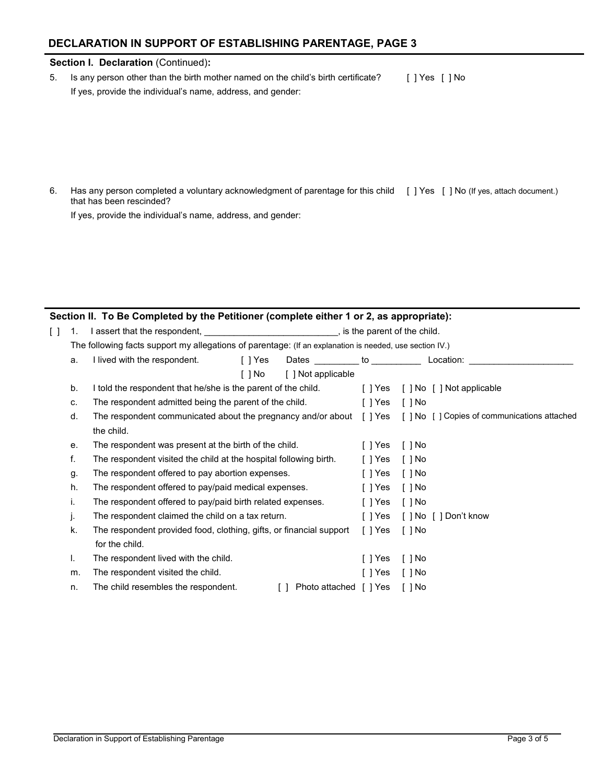## **DECLARATION IN SUPPORT OF ESTABLISHING PARENTAGE, PAGE 3**

## **Section I. Declaration** (Continued)**:**

5. Is any person other than the birth mother named on the child's birth certificate? If yes, provide the individual's name, address, and gender: [ ] Yes [ ] No

6. Has any person completed a voluntary acknowledgment of parentage for this child [ ] Yes [ ] No (If yes, attach document.) that has been rescinded?

If yes, provide the individual's name, address, and gender:

## **Section II. To Be Completed by the Petitioner (complete either 1 or 2, as appropriate):**

| [ ] | 1. | I assert that the respondent, <u>essentially contained</u> by some parent of the child.                 |         |                                |         |                                                                                                                   |  |
|-----|----|---------------------------------------------------------------------------------------------------------|---------|--------------------------------|---------|-------------------------------------------------------------------------------------------------------------------|--|
|     |    | The following facts support my allegations of parentage: (If an explanation is needed, use section IV.) |         |                                |         |                                                                                                                   |  |
|     | a. | I lived with the respondent.                                                                            | [ ] Yes | Dates __________ to __________ |         | Location:                                                                                                         |  |
|     |    |                                                                                                         | [ ] No  | [ ] Not applicable             |         |                                                                                                                   |  |
|     | b. | I told the respondent that he/she is the parent of the child.                                           |         |                                |         | [ ] Yes [ ] No [ ] Not applicable                                                                                 |  |
|     | C. | The respondent admitted being the parent of the child.                                                  |         |                                | [ ] Yes | [ ] No                                                                                                            |  |
|     | d. |                                                                                                         |         |                                |         | The respondent communicated about the pregnancy and/or about [ ] Yes [ ] No [ ] Copies of communications attached |  |
|     |    | the child.                                                                                              |         |                                |         |                                                                                                                   |  |
|     | е. | The respondent was present at the birth of the child.                                                   |         |                                | [ ] Yes | $[ ]$ No                                                                                                          |  |
|     | f. | The respondent visited the child at the hospital following birth.                                       |         |                                |         | [ ] No                                                                                                            |  |
|     | g. | The respondent offered to pay abortion expenses.                                                        |         |                                | [ ] Yes | [ ] No                                                                                                            |  |
|     | h. | The respondent offered to pay/paid medical expenses.                                                    |         |                                | [ ] Yes | [ ] No                                                                                                            |  |
|     | i. | The respondent offered to pay/paid birth related expenses.                                              |         |                                | [ ] Yes | [ ] No                                                                                                            |  |
|     | J. | The respondent claimed the child on a tax return.                                                       |         |                                | [ ] Yes | [ ] No [ ] Don't know                                                                                             |  |
|     | k. | The respondent provided food, clothing, gifts, or financial support                                     |         |                                | [ ] Yes | [ ] No                                                                                                            |  |
|     |    | for the child.                                                                                          |         |                                |         |                                                                                                                   |  |
|     | I. | The respondent lived with the child.                                                                    |         |                                | [ ] Yes | $\lceil$ $\rceil$ No                                                                                              |  |
|     | m. | The respondent visited the child.                                                                       |         |                                | [ ] Yes | [ ] No                                                                                                            |  |
|     | n. | The child resembles the respondent.                                                                     |         | Photo attached [ ] Yes         |         | [ ] No                                                                                                            |  |
|     |    |                                                                                                         |         |                                |         |                                                                                                                   |  |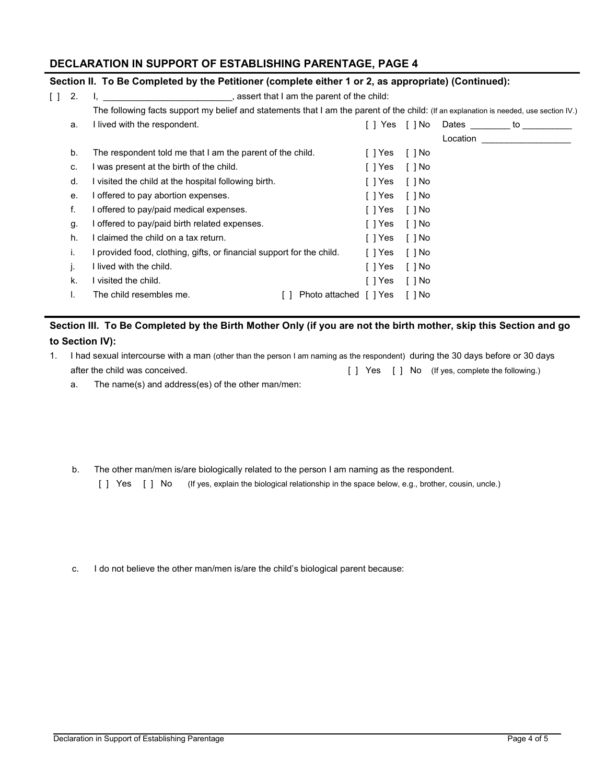## **DECLARATION IN SUPPORT OF ESTABLISHING PARENTAGE, PAGE 4**

## **Section II. To Be Completed by the Petitioner (complete either 1 or 2, as appropriate) (Continued):**

| $\Box$ | 2. | , assert that I am the parent of the child:                                                                                            |         |                       |          |    |  |
|--------|----|----------------------------------------------------------------------------------------------------------------------------------------|---------|-----------------------|----------|----|--|
|        |    | The following facts support my belief and statements that I am the parent of the child: (If an explanation is needed, use section IV.) |         |                       |          |    |  |
|        | a. | I lived with the respondent.                                                                                                           |         | Yes 「1No              | Dates    | to |  |
|        |    |                                                                                                                                        |         |                       | Location |    |  |
|        | b. | The respondent told me that I am the parent of the child.                                                                              | [ ] Yes | $\lceil \; \rceil$ No |          |    |  |
|        | C. | I was present at the birth of the child.                                                                                               | [ ] Yes | $\lceil$ $\rceil$ No  |          |    |  |
|        | d. | visited the child at the hospital following birth.                                                                                     | [ ] Yes | [ ] No                |          |    |  |
|        | е. | offered to pay abortion expenses.                                                                                                      | [ ] Yes | [ ] No                |          |    |  |
|        | f. | offered to pay/paid medical expenses.                                                                                                  | [ ] Yes | [ ] No                |          |    |  |
|        | g. | offered to pay/paid birth related expenses.                                                                                            | [ ] Yes | [ ] No                |          |    |  |
|        | h. | claimed the child on a tax return.                                                                                                     | [ ] Yes | [ ] No                |          |    |  |
|        | Ι. | I provided food, clothing, gifts, or financial support for the child.                                                                  | [ ] Yes | [ ] No                |          |    |  |
|        |    | I lived with the child.                                                                                                                | [ ] Yes | [ ] No                |          |    |  |
|        | k. | I visited the child.                                                                                                                   | [ ] Yes | [ ] No                |          |    |  |
|        |    | The child resembles me.<br>Photo attached                                                                                              | [ ] Yes | [ ] No                |          |    |  |

## **Section III. To Be Completed by the Birth Mother Only (if you are not the birth mother, skip this Section and go to Section IV):**

- 1. I had sexual intercourse with a man (other than the person I am naming as the respondent) during the 30 days before or 30 days after the child was conceived. [ ] Yes [ ] No (If yes, complete the following.)
	- a. The name(s) and address(es) of the other man/men:

b. The other man/men is/are biologically related to the person I am naming as the respondent.

[] Yes [] No (If yes, explain the biological relationship in the space below, e.g., brother, cousin, uncle.)

c. I do not believe the other man/men is/are the child's biological parent because: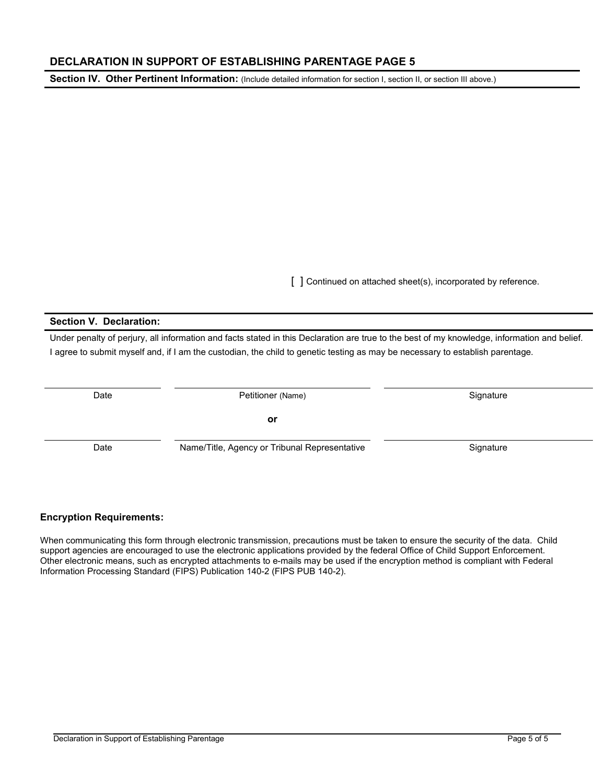## **DECLARATION IN SUPPORT OF ESTABLISHING PARENTAGE PAGE 5**

Section IV. Other Pertinent Information: (Include detailed information for section I, section II, or section III above.)

[ ] Continued on attached sheet(s), incorporated by reference.

#### **Section V. Declaration:**

 Under penalty of perjury, all information and facts stated in this Declaration are true to the best of my knowledge, information and belief. I agree to submit myself and, if I am the custodian, the child to genetic testing as may be necessary to establish parentage.

| Date<br>Petitioner (Name) |                                               | Signature |
|---------------------------|-----------------------------------------------|-----------|
|                           | or                                            |           |
| Date                      | Name/Title, Agency or Tribunal Representative | Signature |

## **Encryption Requirements:**

When communicating this form through electronic transmission, precautions must be taken to ensure the security of the data. Child support agencies are encouraged to use the electronic applications provided by the federal Office of Child Support Enforcement. Other electronic means, such as encrypted attachments to e-mails may be used if the encryption method is compliant with Federal Information Processing Standard (FIPS) Publication 140-2 (FIPS PUB 140-2).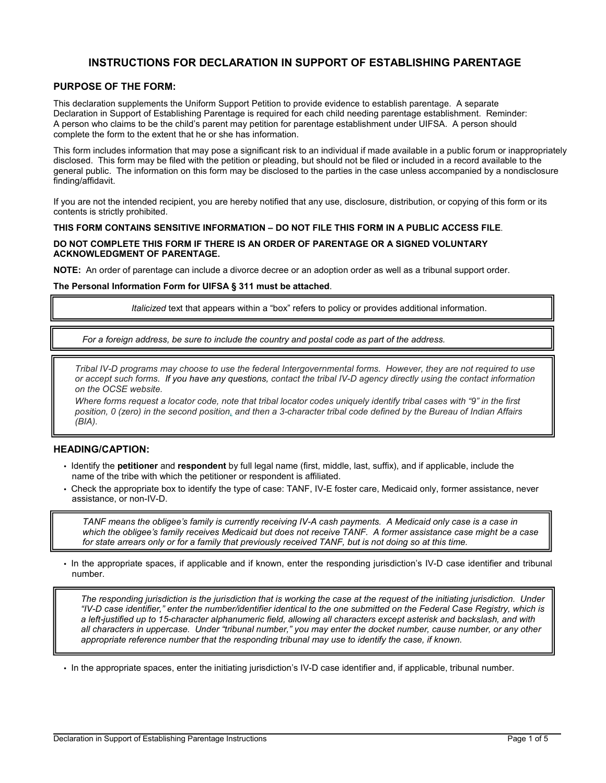## **INSTRUCTIONS FOR DECLARATION IN SUPPORT OF ESTABLISHING PARENTAGE**

#### **PURPOSE OF THE FORM:**

 Declaration in Support of Establishing Parentage is required for each child needing parentage establishment. Reminder: This declaration supplements the Uniform Support Petition to provide evidence to establish parentage. A separate A person who claims to be the child's parent may petition for parentage establishment under UIFSA. A person should complete the form to the extent that he or she has information.

 This form includes information that may pose a significant risk to an individual if made available in a public forum or inappropriately disclosed. This form may be filed with the petition or pleading, but should not be filed or included in a record available to the general public. The information on this form may be disclosed to the parties in the case unless accompanied by a nondisclosure finding/affidavit.

 If you are not the intended recipient, you are hereby notified that any use, disclosure, distribution, or copying of this form or its contents is strictly prohibited.

## **THIS FORM CONTAINS SENSITIVE INFORMATION – DO NOT FILE THIS FORM IN A PUBLIC ACCESS FILE**.

# **DO NOT COMPLETE THIS FORM IF THERE IS AN ORDER OF PARENTAGE OR A SIGNED VOLUNTARY**

**NOTE:** An order of parentage can include a divorce decree or an adoption order as well as a tribunal support order.

#### **The Personal Information Form for UIFSA § 311 must be attached**.

*Italicized* text that appears within a "box" refers to policy or provides additional information.

 *For a foreign address, be sure to include the country and postal code as part of the address.* 

*Tribal IV-D programs may choose to use the federal Intergovernmental forms. However, they are not required to use or accept such forms. If you have any questions, contact the tribal IV-D agency directly using the contact information on the OCSE website.* 

 *position, 0 (zero) in the second position, and then a 3-character tribal code defined by the Bureau of Indian Affairs Where forms request a locator code, note that tribal locator codes uniquely identify tribal cases with "9" in the first (BIA).* 

#### **HEADING/CAPTION:**

- • Identify the **petitioner** and **respondent** by full legal name (first, middle, last, suffix), and if applicable, include the name of the tribe with which the petitioner or respondent is affiliated.
- • Check the appropriate box to identify the type of case: TANF, IV-E foster care, Medicaid only, former assistance, never assistance, or non-IV-D.

 *which the obligee's family receives Medicaid but does not receive TANF. A former assistance case might be a case for state arrears only or for a family that previously received TANF, but is not doing so at this time. TANF means the obligee's family is currently receiving IV-A cash payments. A Medicaid only case is a case in* 

• In the appropriate spaces, if applicable and if known, enter the responding jurisdiction's IV-D case identifier and tribunal number.

 *The responding jurisdiction is the jurisdiction that is working the case at the request of the initiating jurisdiction. Under a left-justified up to 15-character alphanumeric field, allowing all characters except asterisk and backslash, and with all characters in uppercase. Under "tribunal number," you may enter the docket number, cause number, or any other "IV-D case identifier," enter the number/identifier identical to the one submitted on the Federal Case Registry, which is appropriate reference number that the responding tribunal may use to identify the case, if known.* 

• In the appropriate spaces, enter the initiating jurisdiction's IV-D case identifier and, if applicable, tribunal number.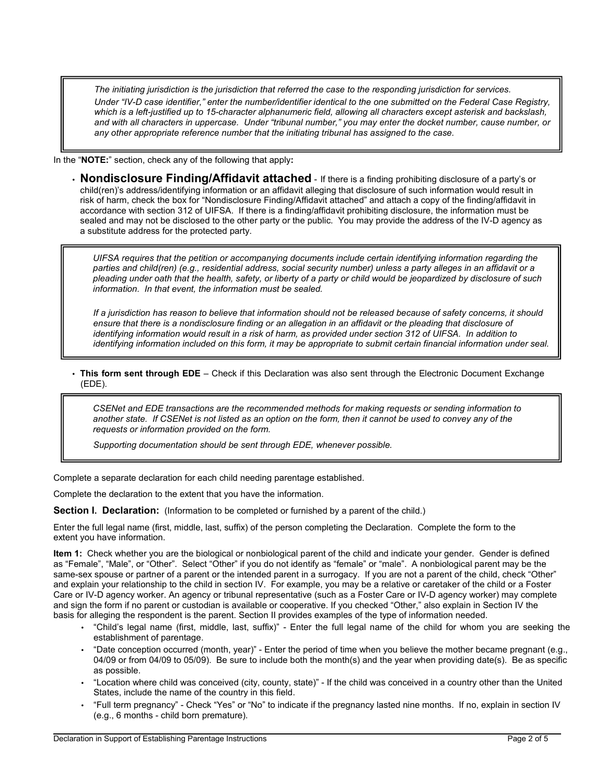*and with all characters in uppercase. Under "tribunal number," you may enter the docket number, cause number, or The initiating jurisdiction is the jurisdiction that referred the case to the responding jurisdiction for services. Under "IV-D case identifier," enter the number/identifier identical to the one submitted on the Federal Case Registry, which is a left-justified up to 15-character alphanumeric field, allowing all characters except asterisk and backslash, any other appropriate reference number that the initiating tribunal has assigned to the case.* 

In the "**NOTE:**" section, check any of the following that apply**:** 

 child(ren)'s address/identifying information or an affidavit alleging that disclosure of such information would result in • **Nondisclosure Finding/Affidavit attached** - If there is a finding prohibiting disclosure of a party's or risk of harm, check the box for "Nondisclosure Finding/Affidavit attached" and attach a copy of the finding/affidavit in accordance with section 312 of UIFSA. If there is a finding/affidavit prohibiting disclosure, the information must be sealed and may not be disclosed to the other party or the public. You may provide the address of the IV-D agency as a substitute address for the protected party.

 *pleading under oath that the health, safety, or liberty of a party or child would be jeopardized by disclosure of such*  information. In that event, the information must be sealed. *UIFSA requires that the petition or accompanying documents include certain identifying information regarding the parties and child(ren) (e.g., residential address, social security number) unless a party alleges in an affidavit or a* 

information. In that event, the information must be sealed.<br>If a jurisdiction has reason to believe that information should not be released because of safety concerns, it should ensure that there is a nondisclosure finding or an allegation in an affidavit or the pleading that disclosure of *identifying information would result in a risk of harm, as provided under section 312 of UIFSA. In addition to identifying information included on this form, it may be appropriate to submit certain financial information under seal.* 

 • **This form sent through EDE** – Check if this Declaration was also sent through the Electronic Document Exchange (EDE).

 *another state. If CSENet is not listed as an option on the form, then it cannot be used to convey any of the CSENet and EDE transactions are the recommended methods for making requests or sending information to requests or information provided on the form.* 

*Supporting documentation should be sent through EDE, whenever possible.* 

Complete a separate declaration for each child needing parentage established.

Complete the declaration to the extent that you have the information.

 **Section I. Declaration:** (Information to be completed or furnished by a parent of the child.)

 Enter the full legal name (first, middle, last, suffix) of the person completing the Declaration. Complete the form to the extent you have information.

**Item 1:** Check whether you are the biological or nonbiological parent of the child and indicate your gender. Gender is defined as "Female", "Male", or "Other". Select "Other" if you do not identify as "female" or "male". A nonbiological parent may be the same-sex spouse or partner of a parent or the intended parent in a surrogacy. If you are not a parent of the child, check "Other" and explain your relationship to the child in section IV. For example, you may be a relative or caretaker of the child or a Foster and sign the form if no parent or custodian is available or cooperative. If you checked "Other," also explain in Section IV the Care or IV-D agency worker. An agency or tribunal representative (such as a Foster Care or IV-D agency worker) may complete basis for alleging the respondent is the parent. Section II provides examples of the type of information needed.

- "Child's legal name (first, middle, last, suffix)" Enter the full legal name of the child for whom you are seeking the establishment of parentage.
- "Date conception occurred (month, year)" Enter the period of time when you believe the mother became pregnant (e.g., 04/09 or from 04/09 to 05/09). Be sure to include both the month(s) and the year when providing date(s). Be as specific as possible.
- States, include the name of the country in this field. • "Location where child was conceived (city, county, state)" - If the child was conceived in a country other than the United
- • "Full term pregnancy" Check "Yes" or "No" to indicate if the pregnancy lasted nine months. If no, explain in section IV (e.g., 6 months - child born premature).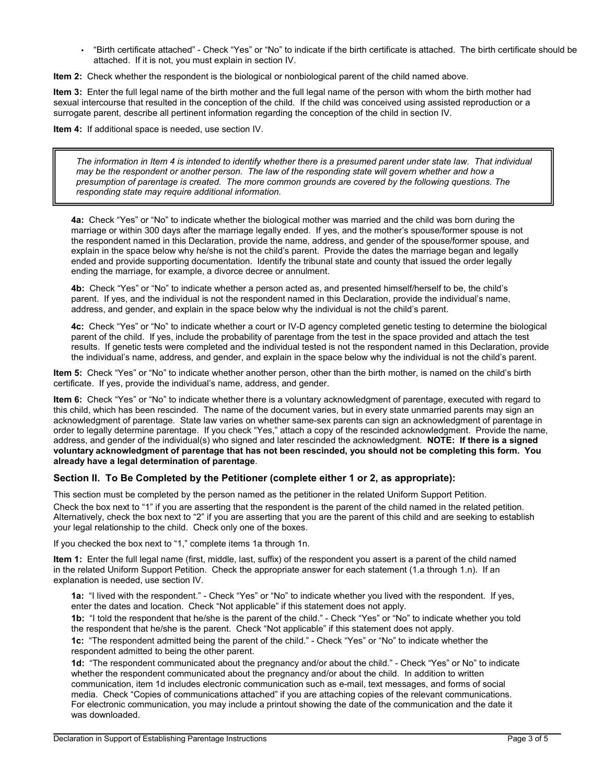• "Birth certificate attached" - Check "Yes" or "No" to indicate if the birth certificate is attached. The birth certificate should be attached. If it is not, you must explain in section IV.

 **Item 2:** Check whether the respondent is the biological or nonbiological parent of the child named above.

 **Item 3:** Enter the full legal name of the birth mother and the full legal name of the person with whom the birth mother had surrogate parent, describe all pertinent information regarding the conception of the child in section IV. sexual intercourse that resulted in the conception of the child. If the child was conceived using assisted reproduction or a

**Item 4:** If additional space is needed, use section IV.

*The information in Item 4 is intended to identify whether there is a presumed parent under state law. That individual may be the respondent or another person. The law of the responding state will govern whether and how a presumption of parentage is created. The more common grounds are covered by the following questions. The responding state may require additional information.* 

 **4a:** Check "Yes" or "No" to indicate whether the biological mother was married and the child was born during the marriage or within 300 days after the marriage legally ended. If yes, and the mother's spouse/former spouse is not ended and provide supporting documentation. Identify the tribunal state and county that issued the order legally the respondent named in this Declaration, provide the name, address, and gender of the spouse/former spouse, and explain in the space below why he/she is not the child's parent. Provide the dates the marriage began and legally ending the marriage, for example, a divorce decree or annulment.

 **4b:** Check "Yes" or "No" to indicate whether a person acted as, and presented himself/herself to be, the child's address, and gender, and explain in the space below why the individual is not the child's parent. parent. If yes, and the individual is not the respondent named in this Declaration, provide the individual's name,

 **4c:** Check "Yes" or "No" to indicate whether a court or IV-D agency completed genetic testing to determine the biological results. If genetic tests were completed and the individual tested is not the respondent named in this Declaration, provide parent of the child. If yes, include the probability of parentage from the test in the space provided and attach the test the individual's name, address, and gender, and explain in the space below why the individual is not the child's parent.

 **Item 5:** Check "Yes" or "No" to indicate whether another person, other than the birth mother, is named on the child's birth certificate. If yes, provide the individual's name, address, and gender.

 **Item 6:** Check "Yes" or "No" to indicate whether there is a voluntary acknowledgment of parentage, executed with regard to this child, which has been rescinded. The name of the document varies, but in every state unmarried parents may sign an acknowledgment of parentage. State law varies on whether same-sex parents can sign an acknowledgment of parentage in address, and gender of the individual(s) who signed and later rescinded the acknowledgment. **NOTE: If there is a signed** order to legally determine parentage. If you check "Yes," attach a copy of the rescinded acknowledgment. Provide the name, **voluntary acknowledgment of parentage that has not been rescinded, you should not be completing this form. You already have a legal determination of parentage**.

#### **Section II. To Be Completed by the Petitioner (complete either 1 or 2, as appropriate):**

This section must be completed by the person named as the petitioner in the related Uniform Support Petition.

Check the box next to "1" if you are asserting that the respondent is the parent of the child named in the related petition. your legal relationship to the child. Check only one of the boxes. Alternatively, check the box next to "2" if you are asserting that you are the parent of this child and are seeking to establish

If you checked the box next to "1," complete items 1a through 1n.

 **Item 1:** Enter the full legal name (first, middle, last, suffix) of the respondent you assert is a parent of the child named in the related Uniform Support Petition. Check the appropriate answer for each statement (1.a through 1.n). If an explanation is needed, use section IV.

 **1a:** "I lived with the respondent." - Check "Yes" or "No" to indicate whether you lived with the respondent. If yes, enter the dates and location. Check "Not applicable" if this statement does not apply.

 **1b:** "I told the respondent that he/she is the parent of the child." - Check "Yes" or "No" to indicate whether you told the respondent that he/she is the parent. Check "Not applicable" if this statement does not apply.

 **1c:** "The respondent admitted being the parent of the child." - Check "Yes" or "No" to indicate whether the respondent admitted to being the other parent.

 **1d:** "The respondent communicated about the pregnancy and/or about the child." - Check "Yes" or No" to indicate whether the respondent communicated about the pregnancy and/or about the child. In addition to written communication, item 1d includes electronic communication such as e-mail, text messages, and forms of social was downloaded. media. Check "Copies of communications attached" if you are attaching copies of the relevant communications. For electronic communication, you may include a printout showing the date of the communication and the date it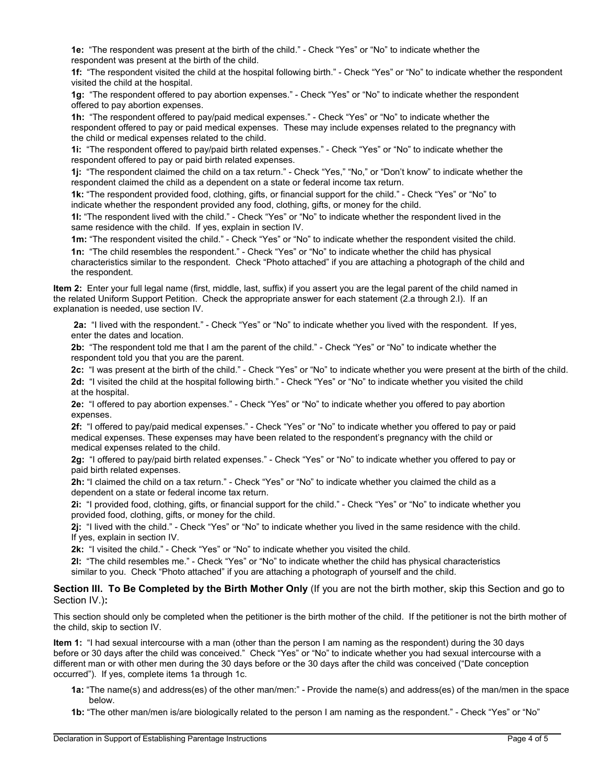**1e:** "The respondent was present at the birth of the child." - Check "Yes" or "No" to indicate whether the respondent was present at the birth of the child.

 **1f:** "The respondent visited the child at the hospital following birth." - Check "Yes" or "No" to indicate whether the respondent visited the child at the hospital.

 **1g:** "The respondent offered to pay abortion expenses." - Check "Yes" or "No" to indicate whether the respondent offered to pay abortion expenses.

 **1h:** "The respondent offered to pay/paid medical expenses." - Check "Yes" or "No" to indicate whether the respondent offered to pay or paid medical expenses. These may include expenses related to the pregnancy with the child or medical expenses related to the child.

 **1i:** "The respondent offered to pay/paid birth related expenses." - Check "Yes" or "No" to indicate whether the respondent offered to pay or paid birth related expenses.

 **1j:** "The respondent claimed the child on a tax return." - Check "Yes," "No," or "Don't know" to indicate whether the respondent claimed the child as a dependent on a state or federal income tax return.

 indicate whether the respondent provided any food, clothing, gifts, or money for the child. **1k:** "The respondent provided food, clothing, gifts, or financial support for the child." - Check "Yes" or "No" to

 same residence with the child. If yes, explain in section IV. **1l:** "The respondent lived with the child." - Check "Yes" or "No" to indicate whether the respondent lived in the

**1m:** "The respondent visited the child." - Check "Yes" or "No" to indicate whether the respondent visited the child.

 **1n:** "The child resembles the respondent." - Check "Yes" or "No" to indicate whether the child has physical characteristics similar to the respondent. Check "Photo attached" if you are attaching a photograph of the child and the respondent.

 **Item 2:** Enter your full legal name (first, middle, last, suffix) if you assert you are the legal parent of the child named in the related Uniform Support Petition. Check the appropriate answer for each statement (2.a through 2.l). If an explanation is needed, use section IV.

 **2a:** "I lived with the respondent." - Check "Yes" or "No" to indicate whether you lived with the respondent. If yes, enter the dates and location.

 **2b:** "The respondent told me that I am the parent of the child." - Check "Yes" or "No" to indicate whether the respondent told you that you are the parent.

**2c:** "I was present at the birth of the child." - Check "Yes" or "No" to indicate whether you were present at the birth of the child.

 **2d:** "I visited the child at the hospital following birth." - Check "Yes" or "No" to indicate whether you visited the child at the hospital.

 **2e:** "I offered to pay abortion expenses." - Check "Yes" or "No" to indicate whether you offered to pay abortion expenses.

 **2f:** "I offered to pay/paid medical expenses." - Check "Yes" or "No" to indicate whether you offered to pay or paid medical expenses. These expenses may have been related to the respondent's pregnancy with the child or medical expenses related to the child.

 **2g:** "I offered to pay/paid birth related expenses." - Check "Yes" or "No" to indicate whether you offered to pay or paid birth related expenses.

 dependent on a state or federal income tax return. **2h:** "I claimed the child on a tax return." - Check "Yes" or "No" to indicate whether you claimed the child as a

 **2i:** "I provided food, clothing, gifts, or financial support for the child." - Check "Yes" or "No" to indicate whether you provided food, clothing, gifts, or money for the child.

 **2j:** "I lived with the child." - Check "Yes" or "No" to indicate whether you lived in the same residence with the child. If yes, explain in section IV.

**2k:** "I visited the child." - Check "Yes" or "No" to indicate whether you visited the child.

 **2l:** "The child resembles me." - Check "Yes" or "No" to indicate whether the child has physical characteristics similar to you. Check "Photo attached" if you are attaching a photograph of yourself and the child.

 **Section III. To Be Completed by the Birth Mother Only** (If you are not the birth mother, skip this Section and go to Section IV.)**:** 

This section should only be completed when the petitioner is the birth mother of the child. If the petitioner is not the birth mother of the child, skip to section IV.

 **Item 1:** "I had sexual intercourse with a man (other than the person I am naming as the respondent) during the 30 days different man or with other men during the 30 days before or the 30 days after the child was conceived ("Date conception before or 30 days after the child was conceived." Check "Yes" or "No" to indicate whether you had sexual intercourse with a occurred"). If yes, complete items 1a through 1c.

- **1a:** "The name(s) and address(es) of the other man/men:" Provide the name(s) and address(es) of the man/men in the space below.
- **1b:** "The other man/men is/are biologically related to the person I am naming as the respondent." Check "Yes" or "No"